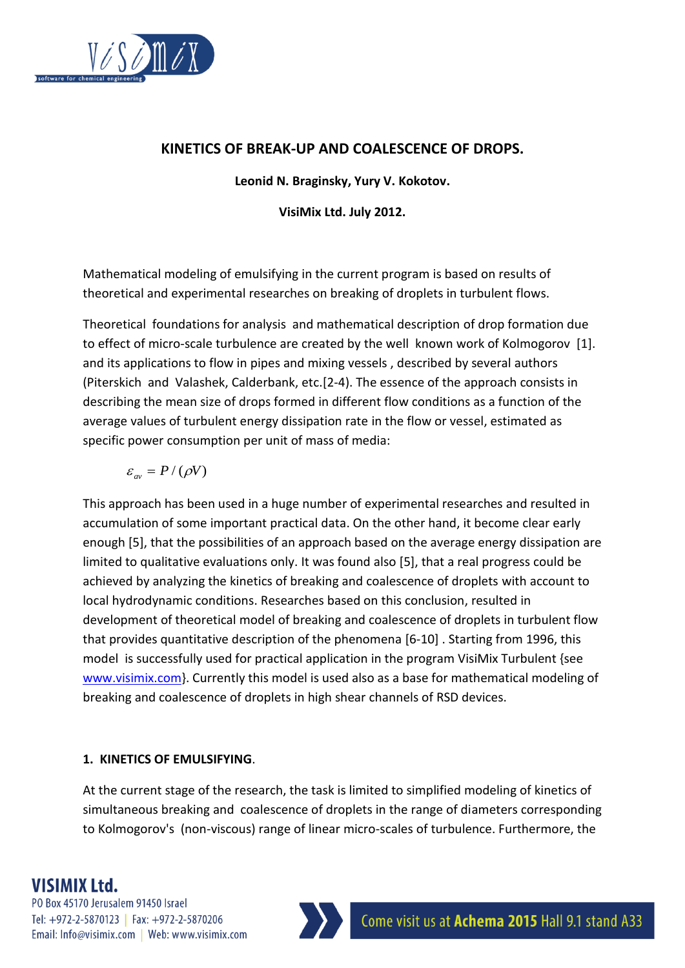

### **KINETICS OF BREAK-UP AND COALESCENCE OF DROPS.**

**Leonid N. Braginsky, Yury V. Kokotov.**

**VisiMix Ltd. July 2012.**

Mathematical modeling of emulsifying in the current program is based on results of theoretical and experimental researches on breaking of droplets in turbulent flows.

Theoretical foundations for analysis and mathematical description of drop formation due to effect of micro-scale turbulence are created by the well known work of Kolmogorov [1]. and its applications to flow in pipes and mixing vessels , described by several authors (Piterskich and Valashek, Calderbank, etc.[2-4). The essence of the approach consists in describing the mean size of drops formed in different flow conditions as a function of the average values of turbulent energy dissipation rate in the flow or vessel, estimated as specific power consumption per unit of mass of media:

$$
\varepsilon_{\text{av}}=P/(\rho V)
$$

This approach has been used in a huge number of experimental researches and resulted in accumulation of some important practical data. On the other hand, it become clear early enough [5], that the possibilities of an approach based on the average energy dissipation are limited to qualitative evaluations only. It was found also [5], that a real progress could be achieved by analyzing the kinetics of breaking and coalescence of droplets with account to local hydrodynamic conditions. Researches based on this conclusion, resulted in development of theoretical model of breaking and coalescence of droplets in turbulent flow that provides quantitative description of the phenomena [6-10] . Starting from 1996, this model is successfully used for practical application in the program VisiMix Turbulent {see [www.visimix.com}](http://www.visimix.com/). Currently this model is used also as a base for mathematical modeling of breaking and coalescence of droplets in high shear channels of RSD devices.

### **1. KINETICS OF EMULSIFYING**.

At the current stage of the research, the task is limited to simplified modeling of kinetics of simultaneous breaking and coalescence of droplets in the range of diameters corresponding to Kolmogorov's (non-viscous) range of linear micro-scales of turbulence. Furthermore, the

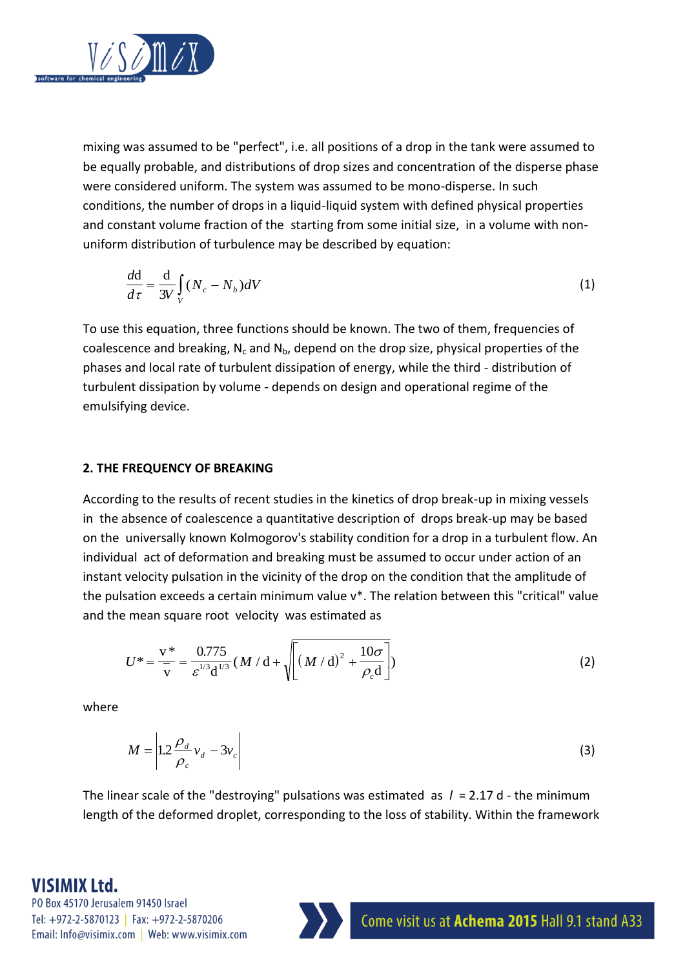

mixing was assumed to be "perfect", i.e. all positions of a drop in the tank were assumed to be equally probable, and distributions of drop sizes and concentration of the disperse phase were considered uniform. The system was assumed to be mono-disperse. In such conditions, the number of drops in a liquid-liquid system with defined physical properties and constant volume fraction of the starting from some initial size, in a volume with nonuniform distribution of turbulence may be described by equation:

$$
\frac{d\mathbf{d}}{d\tau} = \frac{\mathbf{d}}{3V} \int_{V} (N_c - N_b) dV
$$
\n(1)

To use this equation, three functions should be known. The two of them, frequencies of coalescence and breaking,  $N_c$  and  $N_b$ , depend on the drop size, physical properties of the phases and local rate of turbulent dissipation of energy, while the third - distribution of turbulent dissipation by volume - depends on design and operational regime of the emulsifying device.

#### **2. THE FREQUENCY OF BREAKING**

According to the results of recent studies in the kinetics of drop break-up in mixing vessels in the absence of coalescence a quantitative description of drops break-up may be based on the universally known Kolmogorov's stability condition for a drop in a turbulent flow. An individual act of deformation and breaking must be assumed to occur under action of an instant velocity pulsation in the vicinity of the drop on the condition that the amplitude of the pulsation exceeds a certain minimum value v\*. The relation between this "critical" value and the mean square root velocity was estimated as

$$
U^* = \frac{v^*}{\overline{v}} = \frac{0.775}{\varepsilon^{1/3} d^{1/3}} (M / d + \sqrt{\left[ (M / d)^2 + \frac{10\sigma}{\rho_c d} \right]})
$$
(2)

where

$$
M = \left| 1.2 \frac{\rho_d}{\rho_c} v_d - 3v_c \right| \tag{3}
$$

The linear scale of the "destroying" pulsations was estimated as *l* = 2.17 d - the minimum length of the deformed droplet, corresponding to the loss of stability. Within the framework

### **VISIMIX Ltd.**

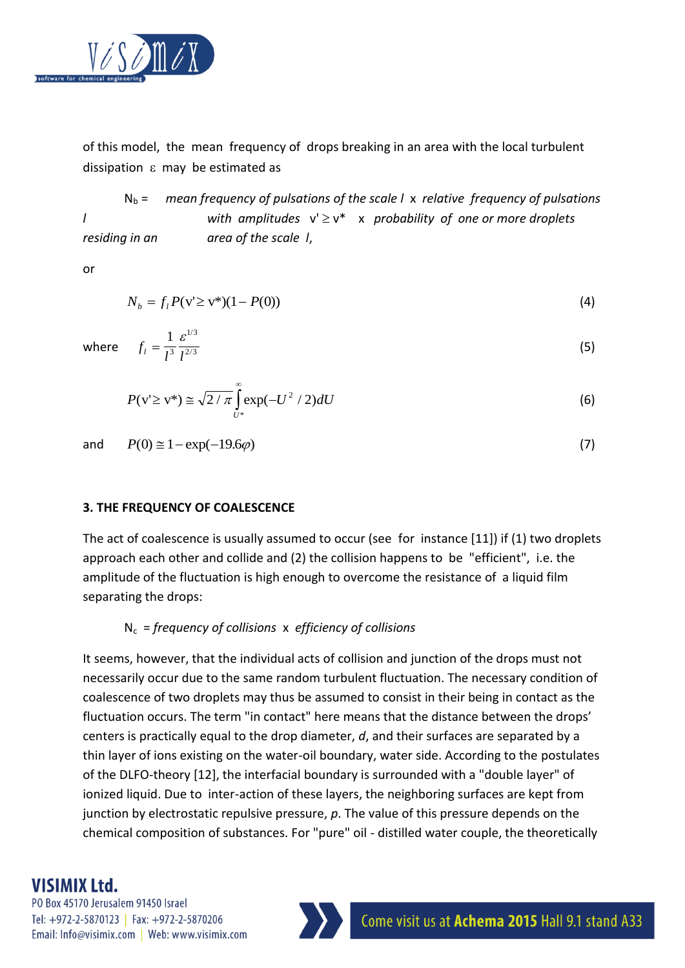

of this model, the mean frequency of drops breaking in an area with the local turbulent dissipation  $\varepsilon$  may be estimated as

N<sup>b</sup> = *mean frequency of pulsations of the scale l* x *relative frequency of pulsations l with amplitudes*  $v' ≥ v^*$  *x probability of one or more droplets residing in an area of the scale l*,

or

$$
N_b = f_l P(v \ge v^*)(1 - P(0))
$$
\n(4)

whe

$$
f_l = \frac{1}{l^3} \frac{\varepsilon^{1/3}}{l^{2/3}}
$$
 (5)

$$
P(v \ge v^*) \cong \sqrt{2/\pi} \int_{U^*}^{\infty} \exp(-U^2/2) dU
$$
 (6)

and  $P(0) \approx 1 - \exp(-19.6\varphi)$ (7)

#### **3. THE FREQUENCY OF COALESCENCE**

The act of coalescence is usually assumed to occur (see for instance [11]) if (1) two droplets approach each other and collide and (2) the collision happens to be "efficient", i.e. the amplitude of the fluctuation is high enough to overcome the resistance of a liquid film separating the drops:

### Nc = *frequency of collisions* x *efficiency of collisions*

It seems, however, that the individual acts of collision and junction of the drops must not necessarily occur due to the same random turbulent fluctuation. The necessary condition of coalescence of two droplets may thus be assumed to consist in their being in contact as the fluctuation occurs. The term "in contact" here means that the distance between the drops' centers is practically equal to the drop diameter, *d*, and their surfaces are separated by a thin layer of ions existing on the water-oil boundary, water side. According to the postulates of the DLFO-theory [12], the interfacial boundary is surrounded with a "double layer" of ionized liquid. Due to inter-action of these layers, the neighboring surfaces are kept from junction by electrostatic repulsive pressure, *p*. The value of this pressure depends on the chemical composition of substances. For "pure" oil - distilled water couple, the theoretically

## **VISIMIX Ltd.**

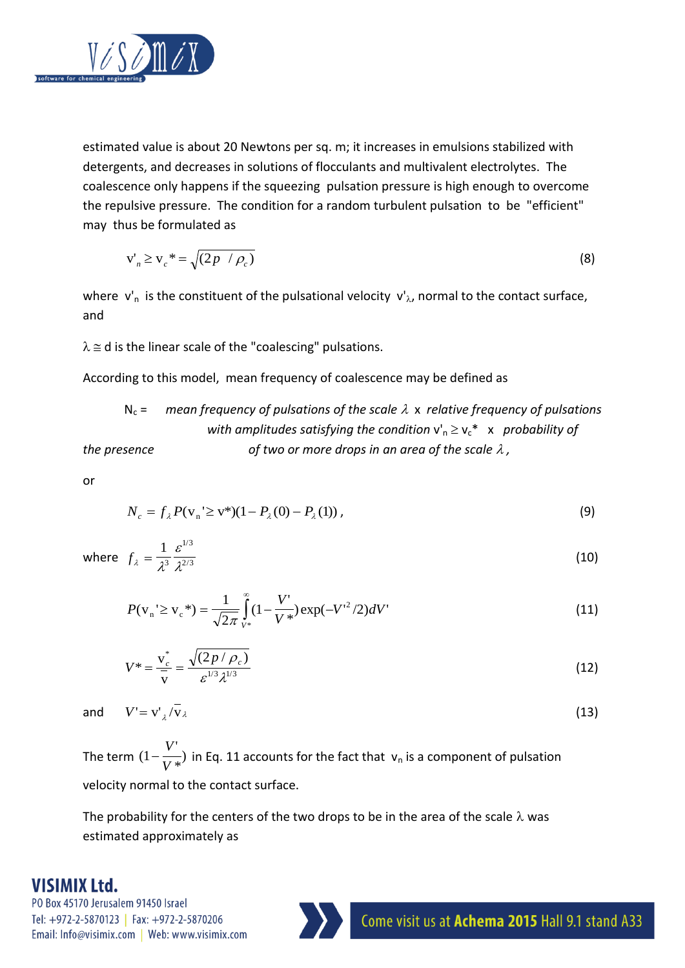

estimated value is about 20 Newtons per sq. m; it increases in emulsions stabilized with detergents, and decreases in solutions of flocculants and multivalent electrolytes. The coalescence only happens if the squeezing pulsation pressure is high enough to overcome the repulsive pressure. The condition for a random turbulent pulsation to be "efficient" may thus be formulated as

$$
v'_n \ge v_c^* = \sqrt{(2p / \rho_c)}
$$
 (8)

where  $v'_n$  is the constituent of the pulsational velocity  $v'_\lambda$ , normal to the contact surface, and

 $\lambda \cong d$  is the linear scale of the "coalescing" pulsations.

According to this model, mean frequency of coalescence may be defined as

$$
N_c
$$
 = mean frequency of pulsations of the scale  $\lambda$  x relative frequency of pulsations with amplitudes satisfying the condition  $v_n \ge v_c^*$  x probability of the presence of two or more drops in an area of the scale  $\lambda$ ,

or

$$
N_c = f_{\lambda} P(\mathbf{v}_n \ge \mathbf{v}^*)(1 - P_{\lambda}(0) - P_{\lambda}(1)), \tag{9}
$$

where  $f_{\lambda} = \frac{1}{\lambda^3}$ ε  $=\frac{1}{\lambda^3}\frac{6}{\lambda^2}$ 1 3  $1/3$  $2/3$ / /

$$
P(\mathbf{v}_{n} \leq \mathbf{v}_{c}^{*}) = \frac{1}{\sqrt{2\pi}} \int_{V^{*}}^{\infty} (1 - \frac{V'}{V^{*}}) \exp(-V'^{2}/2) dV'
$$
 (11)

$$
V^* = \frac{v_c^*}{v} = \frac{\sqrt{(2p/\rho_c)}}{\varepsilon^{1/3} \lambda^{1/3}}
$$
(12)

 $/v_{\lambda}$  (13)

and  $V' = v'_{\lambda}$ 

The term  $(1-\frac{V'}{V*})$  in Eq. 11 accounts for the fact that  $v_n$  is a component of pulsation velocity normal to the contact surface.  $(1 - \frac{r}{1 + r^2})$ *V V*

The probability for the centers of the two drops to be in the area of the scale  $\lambda$  was estimated approximately as

## **VISIMIX Ltd.**

PO Box 45170 Jerusalem 91450 Israel Tel: +972-2-5870123 | Fax: +972-2-5870206 Email: Info@visimix.com | Web: www.visimix.com



(10)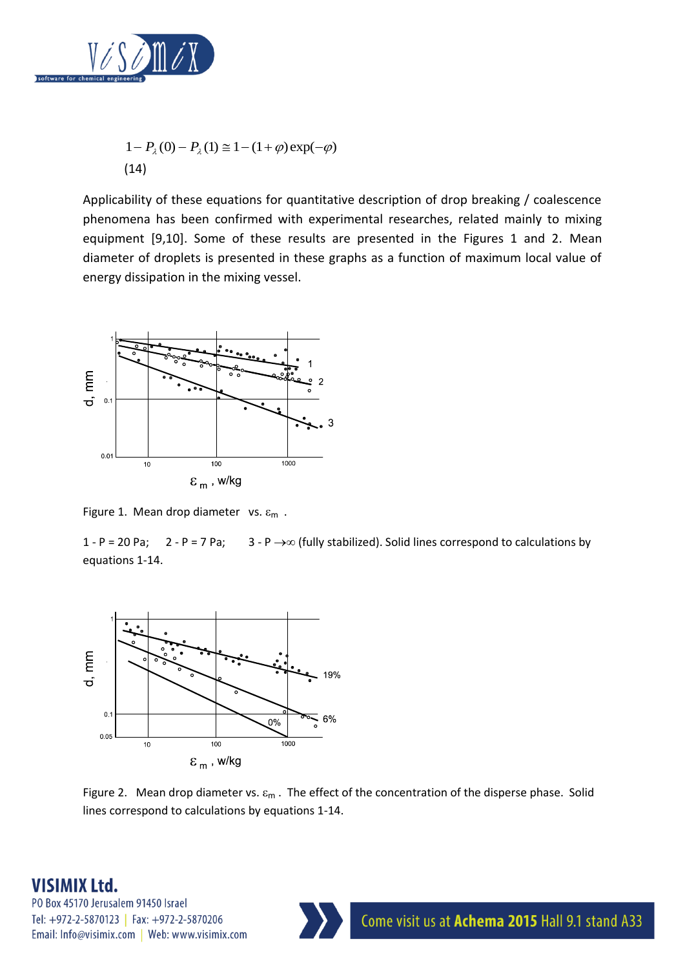

$$
1 - P_{\lambda}(0) - P_{\lambda}(1) \approx 1 - (1 + \varphi) \exp(-\varphi)
$$
  
(14)

Applicability of these equations for quantitative description of drop breaking / coalescence phenomena has been confirmed with experimental researches, related mainly to mixing equipment [9,10]. Some of these results are presented in the Figures 1 and 2. Mean diameter of droplets is presented in these graphs as a function of maximum local value of energy dissipation in the mixing vessel.



Figure 1. Mean drop diameter vs.  $\varepsilon_m$ .

1 - P = 20 Pa; 2 - P = 7 Pa; 3 - P  $\rightarrow \infty$  (fully stabilized). Solid lines correspond to calculations by equations 1-14.



Figure 2. Mean drop diameter vs.  $\varepsilon_m$ . The effect of the concentration of the disperse phase. Solid lines correspond to calculations by equations 1-14.

## **VISIMIX Ltd.**

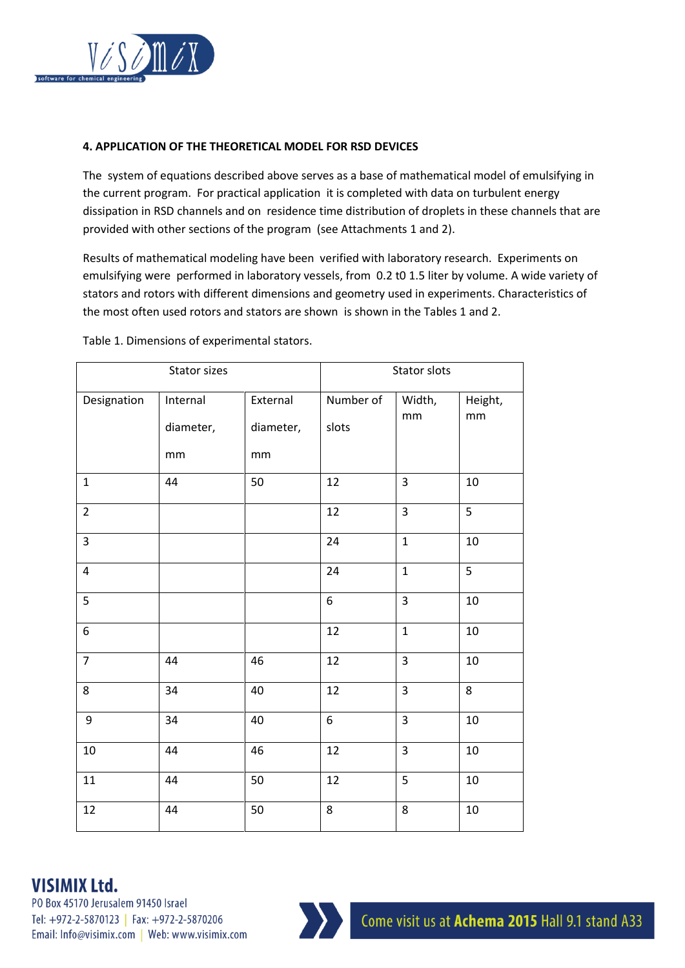

#### **4. APPLICATION OF THE THEORETICAL MODEL FOR RSD DEVICES**

The system of equations described above serves as a base of mathematical model of emulsifying in the current program. For practical application it is completed with data on turbulent energy dissipation in RSD channels and on residence time distribution of droplets in these channels that are provided with other sections of the program (see Attachments 1 and 2).

Results of mathematical modeling have been verified with laboratory research. Experiments on emulsifying were performed in laboratory vessels, from 0.2 t0 1.5 liter by volume. A wide variety of stators and rotors with different dimensions and geometry used in experiments. Characteristics of the most often used rotors and stators are shown is shown in the Tables 1 and 2.

| Stator sizes            |                             |                             | Stator slots       |                |               |
|-------------------------|-----------------------------|-----------------------------|--------------------|----------------|---------------|
| Designation             | Internal<br>diameter,<br>mm | External<br>diameter,<br>mm | Number of<br>slots | Width,<br>mm   | Height,<br>mm |
| $\mathbf{1}$            | 44                          | 50                          | 12                 | $\overline{3}$ | 10            |
| $\overline{2}$          |                             |                             | 12                 | $\overline{3}$ | 5             |
| $\overline{\mathbf{3}}$ |                             |                             | 24                 | $\mathbf{1}$   | $10\,$        |
| $\overline{4}$          |                             |                             | 24                 | $\mathbf 1$    | 5             |
| $\overline{5}$          |                             |                             | $\overline{6}$     | $\overline{3}$ | 10            |
| 6                       |                             |                             | 12                 | $\mathbf{1}$   | $10\,$        |
| $\overline{7}$          | 44                          | 46                          | 12                 | $\overline{3}$ | 10            |
| 8                       | 34                          | 40                          | 12                 | $\overline{3}$ | 8             |
| 9                       | 34                          | 40                          | 6                  | $\overline{3}$ | 10            |
| $10\,$                  | 44                          | 46                          | 12                 | $\overline{3}$ | 10            |
| $11\,$                  | 44                          | 50                          | 12                 | 5              | 10            |
| 12                      | 44                          | 50                          | 8                  | 8              | 10            |

Table 1. Dimensions of experimental stators.

## **VISIMIX Ltd.**

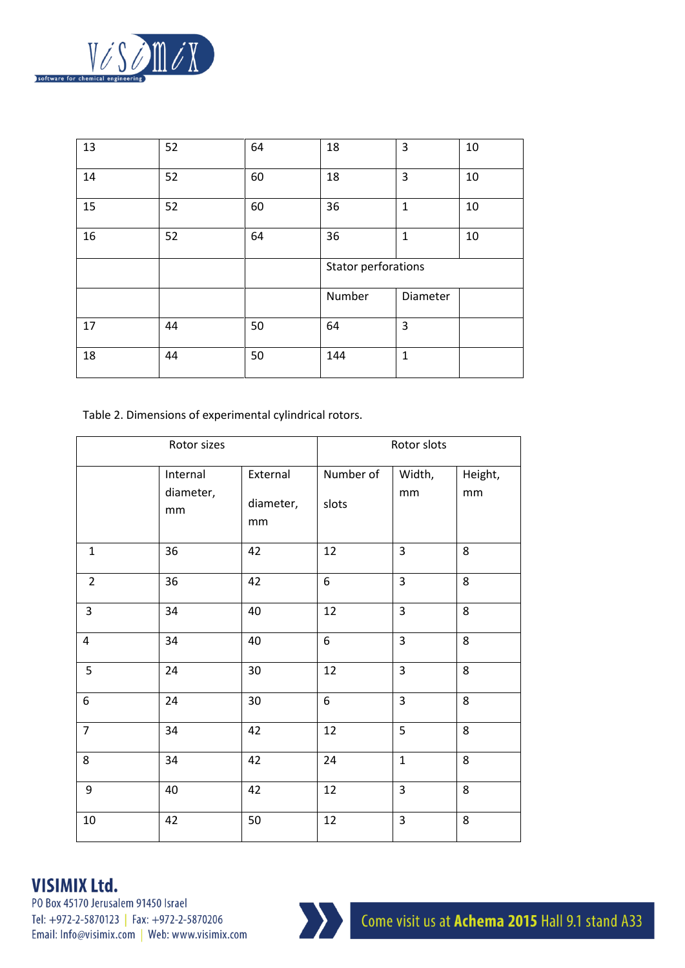

| 13 | 52 | 64 | 18                         | 3            | 10 |
|----|----|----|----------------------------|--------------|----|
| 14 | 52 | 60 | 18                         | 3            | 10 |
| 15 | 52 | 60 | 36                         | $\mathbf{1}$ | 10 |
| 16 | 52 | 64 | 36                         | $\mathbf{1}$ | 10 |
|    |    |    | <b>Stator perforations</b> |              |    |
|    |    |    | Number                     | Diameter     |    |
| 17 | 44 | 50 | 64                         | 3            |    |
| 18 | 44 | 50 | 144                        | $\mathbf{1}$ |    |

Table 2. Dimensions of experimental cylindrical rotors.

| Rotor sizes             |                             |                             | Rotor slots        |                |               |
|-------------------------|-----------------------------|-----------------------------|--------------------|----------------|---------------|
|                         | Internal<br>diameter,<br>mm | External<br>diameter,<br>mm | Number of<br>slots | Width,<br>mm   | Height,<br>mm |
| $\mathbf{1}$            | 36                          | 42                          | 12                 | 3              | 8             |
| $\overline{2}$          | 36                          | 42                          | 6                  | $\overline{3}$ | 8             |
| $\overline{3}$          | 34                          | 40                          | 12                 | 3              | 8             |
| $\overline{\mathbf{4}}$ | 34                          | 40                          | 6                  | $\overline{3}$ | 8             |
| 5                       | 24                          | $30\,$                      | 12                 | 3              | 8             |
| 6                       | 24                          | 30                          | 6                  | $\overline{3}$ | 8             |
| $\overline{7}$          | 34                          | 42                          | 12                 | 5              | 8             |
| 8                       | 34                          | 42                          | 24                 | $\mathbf{1}$   | 8             |
| 9                       | 40                          | 42                          | 12                 | $\overline{3}$ | 8             |
| 10                      | 42                          | 50                          | 12                 | 3              | 8             |

# **VISIMIX Ltd.**

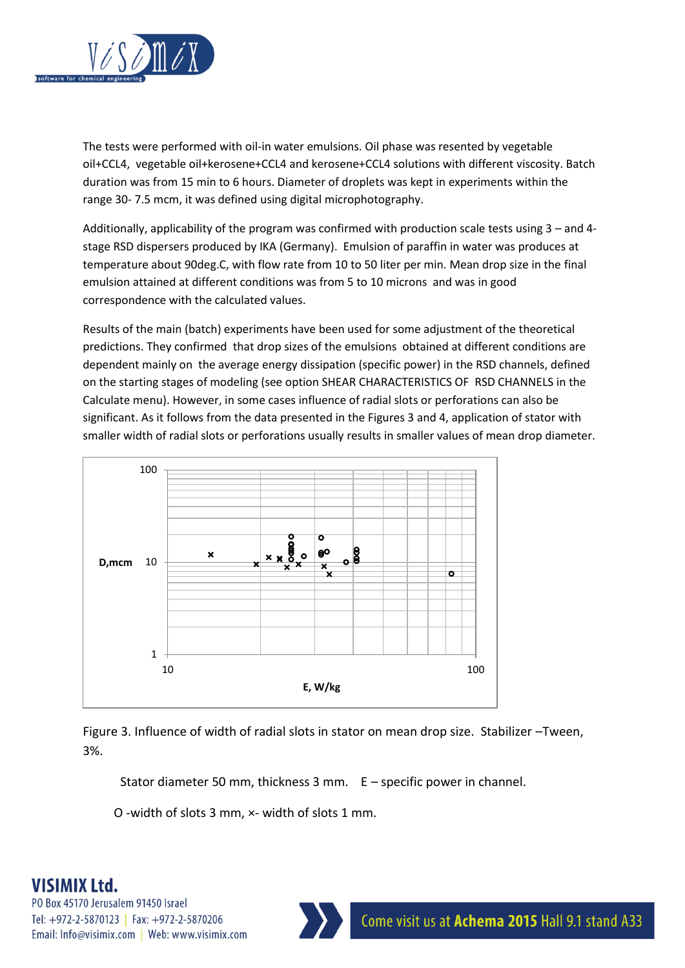

The tests were performed with oil-in water emulsions. Oil phase was resented by vegetable oil+CCL4, vegetable oil+kerosene+CCL4 and kerosene+CCL4 solutions with different viscosity. Batch duration was from 15 min to 6 hours. Diameter of droplets was kept in experiments within the range 30- 7.5 mcm, it was defined using digital microphotography.

Additionally, applicability of the program was confirmed with production scale tests using 3 – and 4 stage RSD dispersers produced by IKA (Germany). Emulsion of paraffin in water was produces at temperature about 90deg.C, with flow rate from 10 to 50 liter per min. Mean drop size in the final emulsion attained at different conditions was from 5 to 10 microns and was in good correspondence with the calculated values.

Results of the main (batch) experiments have been used for some adjustment of the theoretical predictions. They confirmed that drop sizes of the emulsions obtained at different conditions are dependent mainly on the average energy dissipation (specific power) in the RSD channels, defined on the starting stages of modeling (see option SHEAR CHARACTERISTICS OF RSD CHANNELS in the Calculate menu). However, in some cases influence of radial slots or perforations can also be significant. As it follows from the data presented in the Figures 3 and 4, application of stator with smaller width of radial slots or perforations usually results in smaller values of mean drop diameter.





Stator diameter 50 mm, thickness 3 mm. E – specific power in channel.

O -width of slots 3 mm, ×- width of slots 1 mm.

# **VISIMIX Ltd.**

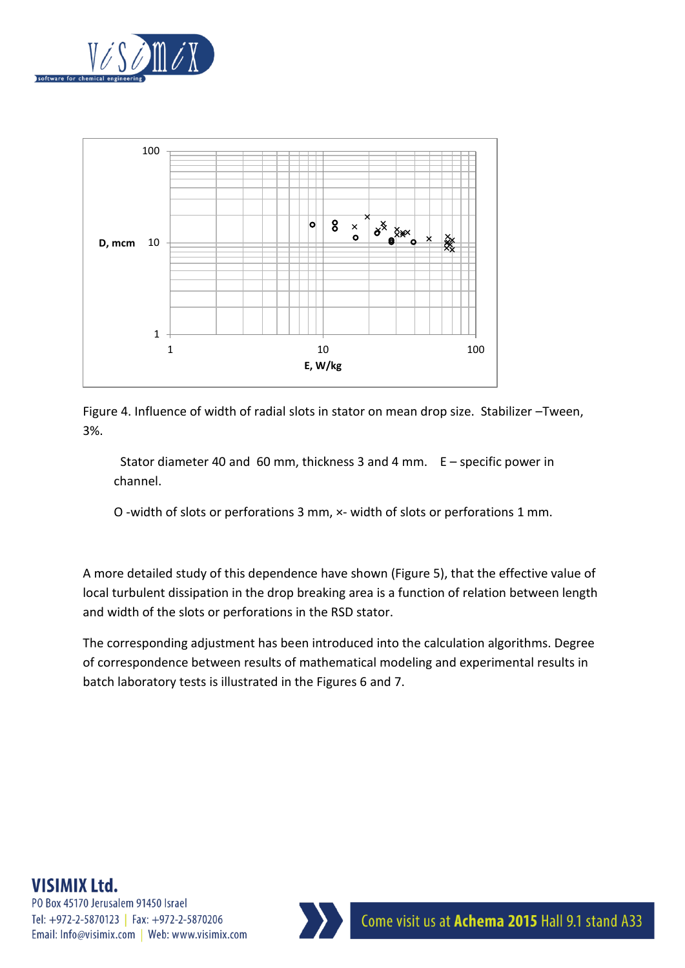



Figure 4. Influence of width of radial slots in stator on mean drop size. Stabilizer –Tween, 3%.

 Stator diameter 40 and 60 mm, thickness 3 and 4 mm. E – specific power in channel.

O -width of slots or perforations 3 mm, ×- width of slots or perforations 1 mm.

A more detailed study of this dependence have shown (Figure 5), that the effective value of local turbulent dissipation in the drop breaking area is a function of relation between length and width of the slots or perforations in the RSD stator.

The corresponding adjustment has been introduced into the calculation algorithms. Degree of correspondence between results of mathematical modeling and experimental results in batch laboratory tests is illustrated in the Figures 6 and 7.

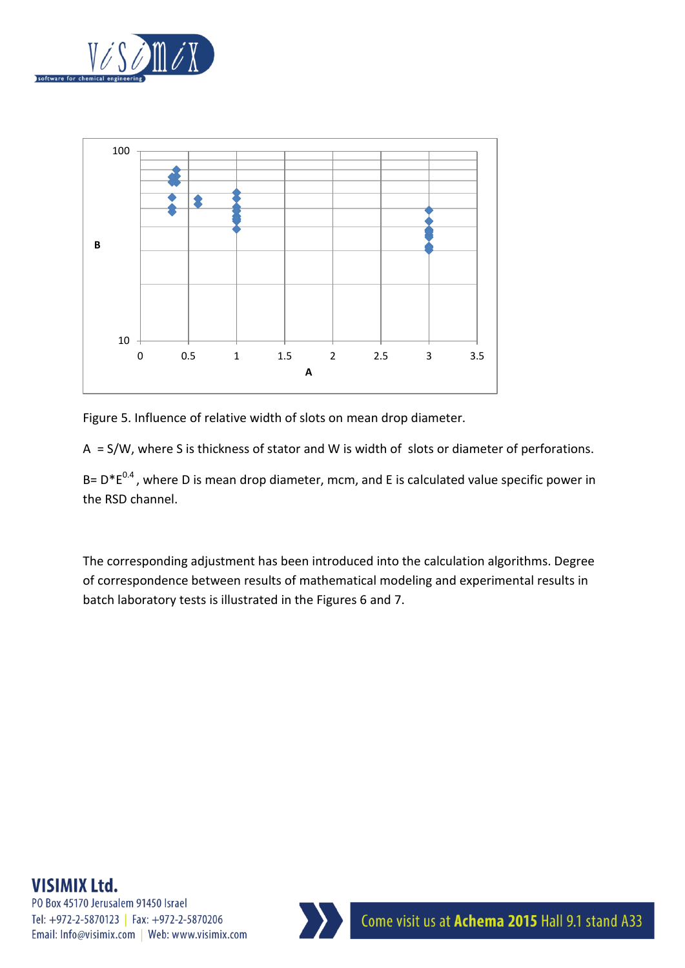



Figure 5. Influence of relative width of slots on mean drop diameter.

A = S/W, where S is thickness of stator and W is width of slots or diameter of perforations.

B=  $D^*E^{0.4}$ , where D is mean drop diameter, mcm, and E is calculated value specific power in the RSD channel.

The corresponding adjustment has been introduced into the calculation algorithms. Degree of correspondence between results of mathematical modeling and experimental results in batch laboratory tests is illustrated in the Figures 6 and 7.

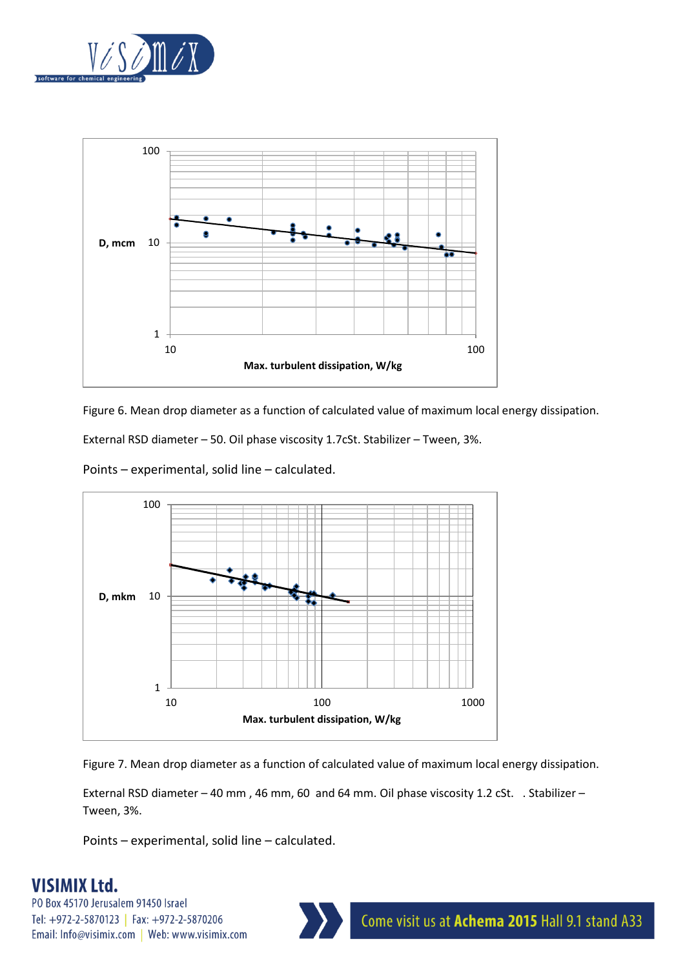



Figure 6. Mean drop diameter as a function of calculated value of maximum local energy dissipation.

External RSD diameter – 50. Oil phase viscosity 1.7cSt. Stabilizer – Tween, 3%.

Points – experimental, solid line – calculated.



Figure 7. Mean drop diameter as a function of calculated value of maximum local energy dissipation.

External RSD diameter – 40 mm , 46 mm, 60 and 64 mm. Oil phase viscosity 1.2 cSt. . Stabilizer – Tween, 3%.

Points – experimental, solid line – calculated.

# **VISIMIX Ltd.**

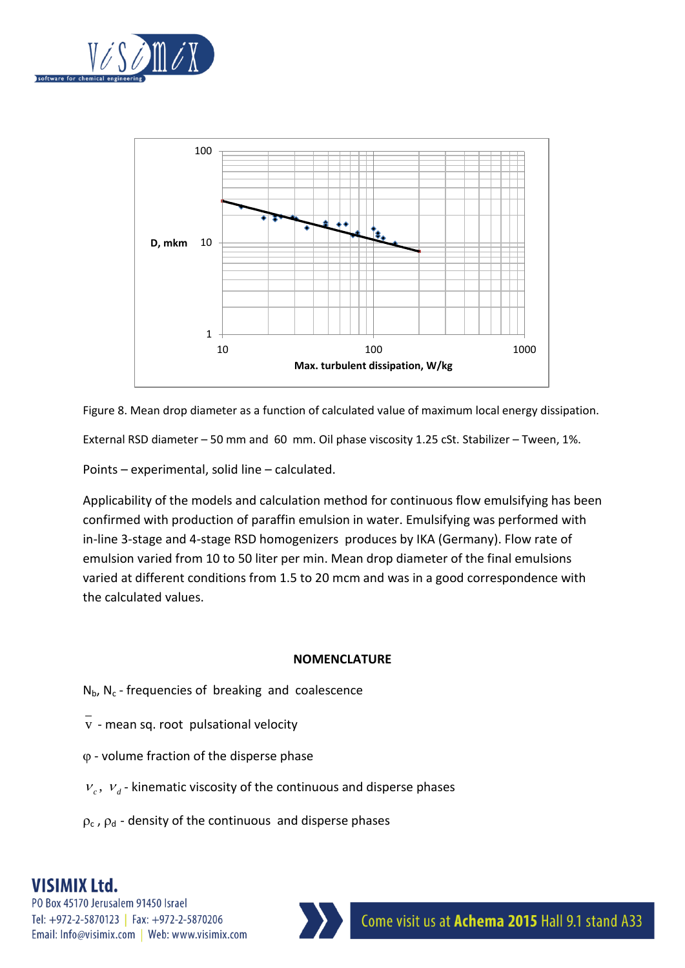



Figure 8. Mean drop diameter as a function of calculated value of maximum local energy dissipation.

External RSD diameter – 50 mm and 60 mm. Oil phase viscosity 1.25 cSt. Stabilizer – Tween, 1%.

Points – experimental, solid line – calculated.

Applicability of the models and calculation method for continuous flow emulsifying has been confirmed with production of paraffin emulsion in water. Emulsifying was performed with in-line 3-stage and 4-stage RSD homogenizers produces by IKA (Germany). Flow rate of emulsion varied from 10 to 50 liter per min. Mean drop diameter of the final emulsions varied at different conditions from 1.5 to 20 mcm and was in a good correspondence with the calculated values.

#### **NOMENCLATURE**

- $N_{\rm b}$ ,  $N_{\rm c}$  frequencies of breaking and coalescence
- $\overline{v}$  mean sq. root pulsational velocity
- $\varphi$  volume fraction of the disperse phase
- $v_c$ ,  $v_d$  kinematic viscosity of the continuous and disperse phases
- $\rho_c$ ,  $\rho_d$  density of the continuous and disperse phases

# **VISIMIX Ltd.**